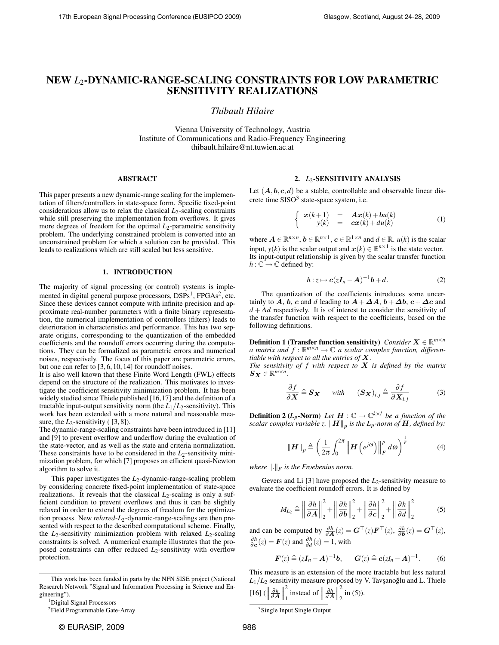# NEW *L*2-DYNAMIC-RANGE-SCALING CONSTRAINTS FOR LOW PARAMETRIC SENSITIVITY REALIZATIONS

*Thibault Hilaire*

Vienna University of Technology, Austria Institute of Communications and Radio-Frequency Engineering thibault.hilaire@nt.tuwien.ac.at

# ABSTRACT

This paper presents a new dynamic-range scaling for the implementation of filters/controllers in state-space form. Specific fixed-point considerations allow us to relax the classical  $L_2$ -scaling constraints while still preserving the implementation from overflows. It gives more degrees of freedom for the optimal *L*2-parametric sensitivity problem. The underlying constrained problem is converted into an unconstrained problem for which a solution can be provided. This leads to realizations which are still scaled but less sensitive.

# 1. INTRODUCTION

The majority of signal processing (or control) systems is implemented in digital general purpose processors, DSPs<sup>1</sup>, FPGAs<sup>2</sup>, etc. Since these devices cannot compute with infinite precision and approximate real-number parameters with a finite binary representation, the numerical implementation of controllers (filters) leads to deterioration in characteristics and performance. This has two separate origins, corresponding to the quantization of the embedded coefficients and the roundoff errors occurring during the computations. They can be formalized as parametric errors and numerical noises, respectively. The focus of this paper are parametric errors, but one can refer to [3, 6, 10, 14] for roundoff noises.

It is also well known that these Finite Word Length (FWL) effects depend on the structure of the realization. This motivates to investigate the coefficient sensitivity minimization problem. It has been widely studied since Thiele published [16,17] and the definition of a tractable input-output sensitivity norm (the  $L_1/L_2$ -sensitivity). This work has been extended with a more natural and reasonable measure, the  $L_2$ -sensitivity ( $[3, 8]$ ).

The dynamic-range-scaling constraints have been introduced in [11] and [9] to prevent overflow and underflow during the evaluation of the state-vector, and as well as the state and criteria normalization. These constraints have to be considered in the  $L_2$ -sensitivity minimization problem, for which [7] proposes an efficient quasi-Newton algorithm to solve it.

This paper investigates the *L*2-dynamic-range-scaling problem by considering concrete fixed-point implementation of state-space realizations. It reveals that the classical  $L_2$ -scaling is only a sufficient condition to prevent overflows and thus it can be slightly relaxed in order to extend the degrees of freedom for the optimization process. New *relaxed-L*<sub>2</sub>-dynamic-range-scalings are then presented with respect to the described computational scheme. Finally, the  $L_2$ -sensitivity minimization problem with relaxed  $L_2$ -scaling constraints is solved. A numerical example illustrates that the proposed constraints can offer reduced *L*2-sensitivity with overflow protection.

# 2. *L*2-SENSITIVITY ANALYSIS

Let  $(A, b, c, d)$  be a stable, controllable and observable linear discrete time SISO<sup>3</sup> state-space system, i.e.

$$
\begin{cases}\n x(k+1) = Ax(k) + bu(k) \\
y(k) = cx(k) + du(k)\n\end{cases} (1)
$$

where  $A \in \mathbb{R}^{n \times n}$ ,  $b \in \mathbb{R}^{n \times 1}$ ,  $c \in \mathbb{R}^{1 \times n}$  and  $d \in \mathbb{R}$ .  $u(k)$  is the scalar input, *y*(*k*) is the scalar output and  $x(k) \in \mathbb{R}^{n \times 1}$  is the state vector. Its input-output relationship is given by the scalar transfer function  $h: \mathbb{C} \to \mathbb{C}$  defined by:

$$
h: z \mapsto c(zI_n - A)^{-1}b + d. \tag{2}
$$

The quantization of the coefficients introduces some uncertainly to A, b, c and d leading to  $A + \Delta A$ ,  $b + \Delta b$ ,  $c + \Delta c$  and *d* + ∆*d* respectively. It is of interest to consider the sensitivity of the transfer function with respect to the coefficients, based on the following definitions.

**Definition 1 (Transfer function sensitivity)** *Consider*  $X \in \mathbb{R}^{m \times n}$ *a* matrix and  $f : \mathbb{R}^{m \times n} \to \mathbb{C}$  a scalar complex function, differen*tiable with respect to all the entries of* X*.*

*The sensitivity of f with respect to* X *is defined by the matrix*  $S_X \in \mathbb{R}^{m \times n}$ 

$$
\frac{\partial f}{\partial \mathbf{X}} \triangleq \mathbf{S}_{\mathbf{X}} \quad \text{with} \quad (\mathbf{S}_{\mathbf{X}})_{i,j} \triangleq \frac{\partial f}{\partial \mathbf{X}_{i,j}} \tag{3}
$$

**Definition 2** ( $L_p$ -Norm) Let  $H : \mathbb{C} \to \mathbb{C}^{k \times l}$  be a function of the  $_{scalar\ complex\ variable\ z.\ \|H\|_p$  is the  $L_p$ -norm of  $H$ , defined by:

$$
\|\boldsymbol{H}\|_{p} \triangleq \left(\frac{1}{2\pi} \int_{0}^{2\pi} \left\|\boldsymbol{H}\left(e^{j\omega}\right)\right\|_{F}^{p} d\omega\right)^{\frac{1}{p}} \tag{4}
$$

where  $\|.\|_F$  is the Froebenius norm.

Gevers and Li  $[3]$  have proposed the  $L_2$ -sensitivity measure to evaluate the coefficient roundoff errors. It is defined by

$$
M_{L_2} \triangleq \left\| \frac{\partial h}{\partial A} \right\|_2^2 + \left\| \frac{\partial h}{\partial b} \right\|_2^2 + \left\| \frac{\partial h}{\partial c} \right\|_2^2 + \left\| \frac{\partial h}{\partial d} \right\|_2^2 \tag{5}
$$

and can be computed by  $\frac{\partial h}{\partial \mathbf{A}}(z) = \mathbf{G}^\top(z)\mathbf{F}^\top(z)$ ,  $\frac{\partial h}{\partial \mathbf{b}}(z) = \mathbf{G}^\top(z)$ ,  $\frac{\partial h}{\partial \mathbf{c}}(z) = \mathbf{F}(z)$  and  $\frac{\partial h}{\partial d}(z) = 1$ , with

$$
\boldsymbol{F}(z) \triangleq (z\boldsymbol{I}_n - \boldsymbol{A})^{-1}\boldsymbol{b}, \quad \boldsymbol{G}(z) \triangleq \boldsymbol{c}(z\boldsymbol{I}_n - \boldsymbol{A})^{-1}.
$$
 (6)

This measure is an extension of the more tractable but less natural  $L_1/L_2$  sensitivity measure proposed by V. Tavşanoğlu and L. Thiele  $[16]$  ( ∂*h* ∂A 2  $\frac{2}{1}$  instead of  $\parallel$ ∂*h* ∂A 2  $\sum_{2}$  in (5)).

This work has been funded in parts by the NFN SISE project (National Research Network "Signal and Information Processing in Science and Engineering").

<sup>1</sup>Digital Signal Processors

<sup>&</sup>lt;sup>2</sup>Field Programmable Gate-Array

<sup>3</sup>Single Input Single Output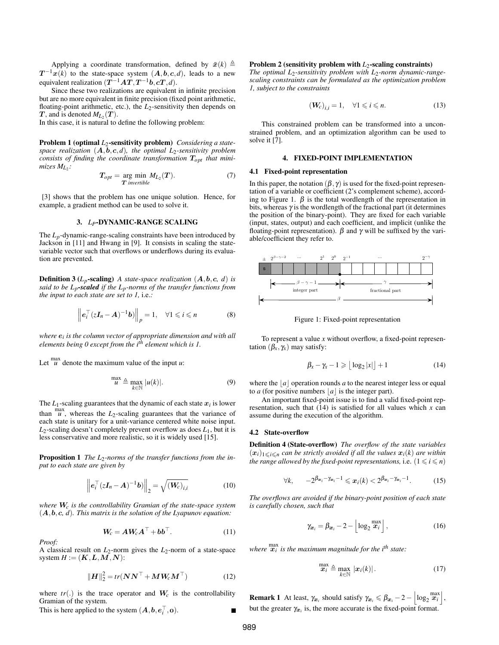Applying a coordinate transformation, defined by  $\bar{x}(k) \triangleq$  $T^{-1}x(k)$  to the state-space system  $(A,b,c,d)$ , leads to a new equivalent realization  $(T^{-1}AT, T^{-1}b, cT, d)$ .

Since these two realizations are equivalent in infinite precision but are no more equivalent in finite precision (fixed point arithmetic, floating-point arithmetic, etc.), the *L*2-sensitivity then depends on  $T$ , and is denoted  $M_{L_2}(T)$ .

In this case, it is natural to define the following problem:

Problem 1 (optimal *L*<sub>2</sub>-sensitivity problem) *Considering a statespace realization*  $(A, b, c, d)$ *, the optimal L*<sub>2</sub>*-sensitivity problem consists of finding the coordinate transformation* T*opt that minimizes ML*<sup>2</sup> *:*

$$
T_{opt} = \underset{T \text{ invertible}}{\text{arg min}} \ M_{L_2}(T). \tag{7}
$$

[3] shows that the problem has one unique solution. Hence, for example, a gradient method can be used to solve it.

#### 3. *LP*-DYNAMIC-RANGE SCALING

The *Lp*-dynamic-range-scaling constraints have been introduced by Jackson in [11] and Hwang in [9]. It consists in scaling the statevariable vector such that overflows or underflows during its evaluation are prevented.

**Definition 3** ( $L_p$ -scaling) *A state-space realization*  $(A, b, c, d)$  *is said to be Lp-scaled if the Lp-norms of the transfer functions from the input to each state are set to 1,* i.e.*:*

$$
\left\| \boldsymbol{e}_i^\top (\boldsymbol{z}\boldsymbol{I}_n - \boldsymbol{A})^{-1} \boldsymbol{b} \right\|_p = 1, \quad \forall 1 \leqslant i \leqslant n \tag{8}
$$

*where* e*<sup>i</sup> is the column vector of appropriate dimension and with all elements being 0 except from the ith element which is 1.*

Let  $\int u \, du$  denote the maximum value of the input *u*:

$$
\max_{\mathcal{U}} \triangleq \max_{k \in \mathbb{N}} |u(k)|. \tag{9}
$$

The  $L_1$ -scaling guarantees that the dynamic of each state  $x_i$  is lower than  $\frac{max}{u}$ , whereas the *L*<sub>2</sub>-scaling guarantees that the variance of each state is unitary for a unit-variance centered white noise input.  $L_2$ -scaling doesn't completely prevent overflow as does  $L_1$ , but it is less conservative and more realistic, so it is widely used [15].

Proposition 1 *The L*2*-norms of the transfer functions from the input to each state are given by*

$$
\left\| \boldsymbol{e}_i^\top (\boldsymbol{z} \boldsymbol{I}_n - \boldsymbol{A})^{-1} \boldsymbol{b} \right\|_2 = \sqrt{\left(\boldsymbol{W}_c\right)_{i,i}} \tag{10}
$$

*where* W*c is the controllability Gramian of the state-space system* (A,b,c*, d*)*. This matrix is the solution of the Lyapunov equation:*

$$
W_c = AW_c A^\top + bb^\top. \tag{11}
$$

*Proof:*

A classical result on *L*2-norm gives the *L*2-norm of a state-space system  $H := (\mathbf{K}, \mathbf{L}, \mathbf{M}, \mathbf{N})$ :

$$
\|\boldsymbol{H}\|_2^2 = tr(\boldsymbol{N}\boldsymbol{N}^\top + \boldsymbol{M}\boldsymbol{W}_c\boldsymbol{M}^\top)
$$
(12)

where  $tr(.)$  is the trace operator and  $W_c$  is the controllability Gramian of the system.

This is here applied to the system  $(A, b, e_i^+, o)$ .

#### Problem 2 (sensitivity problem with  $L_2$ -scaling constraints)

The optimal  $L_2$ -sensitivity problem with  $L_2$ -norm dynamic-range*scaling constraints can be formulated as the optimization problem 1, subject to the constraints*

$$
\left(\mathbf{W}_{c}\right)_{i,i}=1,\quad\forall 1\leqslant i\leqslant n.\tag{13}
$$

This constrained problem can be transformed into a unconstrained problem, and an optimization algorithm can be used to solve it [7].

#### 4. FIXED-POINT IMPLEMENTATION

#### 4.1 Fixed-point representation

In this paper, the notation  $(\beta, \gamma)$  is used for the fixed-point representation of a variable or coefficient (2's complement scheme), according to Figure 1.  $\beta$  is the total wordlength of the representation in bits, whereas  $\gamma$  is the wordlength of the fractional part (it determines the position of the binary-point). They are fixed for each variable (input, states, output) and each coefficient, and implicit (unlike the floating-point representation).  $\beta$  and  $\gamma$  will be suffixed by the variable/coefficient they refer to.



Figure 1: Fixed-point representation

To represent a value *x* without overflow, a fixed-point representation  $(\beta_x, \gamma_x)$  may satisfy:

$$
\beta_x - \gamma_x - 1 \geqslant \lfloor \log_2 |x| \rfloor + 1 \tag{14}
$$

where the  $|a|$  operation rounds *a* to the nearest integer less or equal to *a* (for positive numbers  $|a|$  is the integer part).

An important fixed-point issue is to find a valid fixed-point representation, such that  $(14)$  is satisfied for all values which *x* can assume during the execution of the algorithm.

#### 4.2 State-overflow

Definition 4 (State-overflow) *The overflow of the state variables*  $(x_i)_{1\leq i\leq n}$  *can be strictly avoided if all the values*  $x_i(k)$  *are within the range allowed by the fixed-point representations, i.e.*  $(1 \leq i \leq n)$ 

$$
\forall k, \qquad -2^{\beta_{\boldsymbol{x}_i} - \gamma_{\boldsymbol{x}_i} - 1} \leqslant \boldsymbol{x}_i(k) < 2^{\beta_{\boldsymbol{x}_i} - \gamma_{\boldsymbol{x}_i} - 1}.\tag{15}
$$

*The overflows are avoided if the binary-point position of each state is carefully chosen, such that*

$$
\gamma_{\boldsymbol{x}_i} = \beta_{\boldsymbol{x}_i} - 2 - \left\lfloor \log_2 \frac{\max}{\boldsymbol{x}_i} \right\rfloor, \tag{16}
$$

where  $\frac{max}{x_i}$  is the maximum magnitude for the i<sup>th</sup> state:

$$
\max_{\mathbf{x}_i} \triangleq \max_{k \in \mathbb{N}} | \mathbf{x}_i(k) |.
$$
 (17)

**Remark 1** At least,  $\gamma_{x_i}$  should satisfy  $\gamma_{x_i} \le \beta_{x_i} - 2 - \left| \log_2 \frac{\max}{x_i} \right|$ , but the greater  $\gamma_{x_i}$  is, the more accurate is the fixed-point format.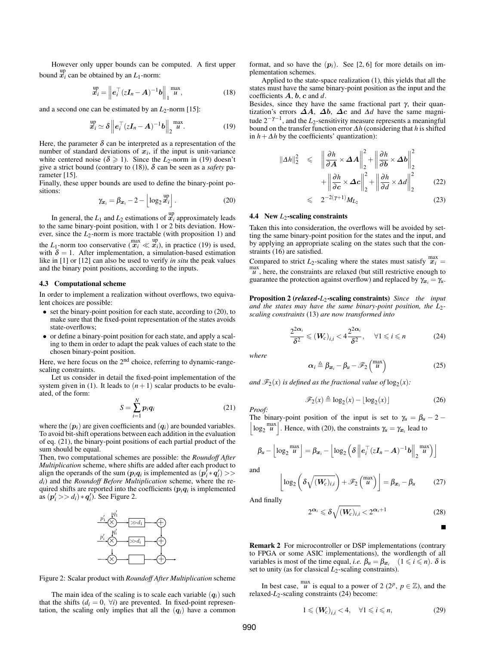However only upper bounds can be computed. A first upper bound  $x_i$  can be obtained by an  $L_1$ -norm:

$$
\stackrel{\text{up}}{\boldsymbol{x}}_{i} = \left\| \boldsymbol{e}_{i}^{\top} (\boldsymbol{z} \boldsymbol{I}_{n} - \boldsymbol{A})^{-1} \boldsymbol{b} \right\|_{1}^{\max} , \tag{18}
$$

and a second one can be estimated by an  $L_2$ -norm [15]:

$$
\stackrel{\text{up}}{x}_i \simeq \delta \left\| e_i^\top (zI_n - A)^{-1} b \right\|_2^{\max}.
$$
 (19)

Here, the parameter  $\delta$  can be interpreted as a representation of the number of standard deviations of  $x_i$ , if the input is unit-variance white centered noise ( $\delta \geq 1$ ). Since the *L*<sub>2</sub>-norm in (19) doesn't give a strict bound (contrary to (18)), δ can be seen as a *safety* parameter [15].

Finally, these upper bounds are used to define the binary-point positions:

$$
\gamma_{\boldsymbol{x}_i} = \beta_{\boldsymbol{x}_i} - 2 - \left\lfloor \log_2 \frac{^{up}}{\boldsymbol{x}_i} \right\rfloor.
$$
 (20)

In general, the  $L_1$  and  $L_2$  estimations of  $\mathcal{X}_i$  approximately leads to the same binary-point position, with 1 or 2 bits deviation. However, since the  $L_2$ -norm is more tractable (with proposition 1) and the *L*<sub>1</sub>-norm too conservative  $\left(\frac{\text{max}}{x_i} \ll \frac{\text{up}}{x_i}\right)$ , in practice (19) is used, with  $\delta = 1$ . After implementation, a simulation-based estimation like in [1] or [12] can also be used to verify *in situ* the peak values and the binary point positions, according to the inputs.

# 4.3 Computational scheme

In order to implement a realization without overflows, two equivalent choices are possible:

- set the binary-point position for each state, according to (20), to make sure that the fixed-point representation of the states avoids state-overflows;
- or define a binary-point position for each state, and apply a scaling to them in order to adapt the peak values of each state to the chosen binary-point position.

Here, we here focus on the  $2<sup>nd</sup>$  choice, referring to dynamic-rangescaling constraints.

Let us consider in detail the fixed-point implementation of the system given in (1). It leads to  $(n+1)$  scalar products to be evaluated, of the form:

$$
S = \sum_{i=1}^{N} p_i q_i \tag{21}
$$

where the  $(p_i)$  are given coefficients and  $(q_i)$  are bounded variables. To avoid bit-shift operations between each addition in the evaluation of eq. (21), the binary-point positions of each partial product of the sum should be equal.

Then, two computational schemes are possible: the *Roundoff After Multiplication* scheme, where shifts are added after each product to align the operands of the sum  $(p_i q_i)$  is implemented as  $(p'_i * q'_i)$  >> *di*) and the *Roundoff Before Multiplication* scheme, where the required shifts are reported into the coefficients  $(p_i q_i)$  is implemented as  $(p'_i \gg d_i) * q'_i$ ). See Figure 2.



Figure 2: Scalar product with *Roundoff After Multiplication* scheme

The main idea of the scaling is to scale each variable  $(q<sub>i</sub>)$  such that the shifts  $(d_i = 0, \forall i)$  are prevented. In fixed-point representation, the scaling only implies that all the  $(q<sub>i</sub>)$  have a common format, and so have the  $(p_i)$ . See [2, 6] for more details on implementation schemes.

Applied to the state-space realization (1), this yields that all the states must have the same binary-point position as the input and the coefficients A, b, c and *d*.

Besides, since they have the same fractional part  $\gamma$ , their quantization's errors  $\Delta A$ ,  $\Delta b$ ,  $\Delta c$  and  $\Delta d$  have the same magnitude 2−γ−<sup>1</sup> , and the *L*2-sensitivity measure represents a meaningful bound on the transfer function error ∆*h* (considering that *h* is shifted in  $h + \Delta h$  by the coefficients' quantization):

$$
\|\Delta h\|_2^2 \leq \left\|\frac{\partial h}{\partial \mathbf{A}} \times \Delta \mathbf{A}\right\|_2^2 + \left\|\frac{\partial h}{\partial \mathbf{b}} \times \Delta \mathbf{b}\right\|_2^2
$$

$$
+ \left\|\frac{\partial h}{\partial \mathbf{c}} \times \Delta \mathbf{c}\right\|_2^2 + \left\|\frac{\partial h}{\partial \mathbf{d}} \times \Delta \mathbf{d}\right\|_2^2 \tag{22}
$$

$$
\leqslant 2^{-2(\gamma+1)}M_{L_2} \tag{23}
$$

#### 4.4 New  $L_2$ -scaling constraints

Taken this into consideration, the overflows will be avoided by setting the same binary-point position for the states and the input, and by applying an appropriate scaling on the states such that the constraints (16) are satisfied.

Compared to strict  $L_2$ -scaling where the states must satisfy  $\frac{max}{x_i} =$  $\mu$ <sup>max</sup>, here, the constraints are relaxed (but still restrictive enough to guarantee the protection against overflow) and replaced by  $\gamma_{x_i} = \gamma_u$ .

Proposition 2 (*relaxed*-*L*2-scaling constraints) *Since the input* and the states may have the same binary-point position, the  $L_2$ *scaling constraints* (13) *are now transformed into*

$$
\frac{2^{2\alpha_i}}{\delta^2} \leqslant (W_c)_{i,i} < 4\frac{2^{2\alpha_i}}{\delta^2}, \quad \forall 1 \leqslant i \leqslant n \tag{24}
$$

*where*

*Proof:*

$$
\alpha_i \triangleq \beta_{\boldsymbol{x}_i} - \beta_u - \mathscr{F}_2 \begin{pmatrix} \max \\ u \end{pmatrix}
$$
 (25)

and  $\mathscr{F}_2(x)$  is defined as the fractional value of  $\log_2(x)$ :

$$
\mathcal{F}_2(x) \triangleq \log_2(x) - \lfloor \log_2(x) \rfloor \tag{26}
$$

 $\left| \log_2 \frac{\text{max}}{u} \right|$ . Hence, with (20), the constraints  $\gamma_u = \gamma_{x_i}$  lead to The binary-point position of the input is set to  $\gamma_u = \beta_u - 2 - \gamma_u$ 

$$
\beta_{u} - \left\lfloor \log_2 \frac{\max}{u} \right\rfloor = \beta_{\boldsymbol{x}_i} - \left\lfloor \log_2 \left( \delta \left\| \boldsymbol{e}_i^{\top} (\boldsymbol{z} \boldsymbol{I}_n - \boldsymbol{A})^{-1} \boldsymbol{b} \right\|_2^{\max} \right) \right\rfloor
$$

and

$$
\left\lfloor \log_2\left(\delta\sqrt{(W_c)_{i,i}}\right) + \mathscr{F}_2\left(\begin{matrix} \max\\ u \end{matrix}\right) \right\rfloor = \beta_{\boldsymbol{x}_i} - \beta_u \quad (27)
$$

And finally

$$
2^{\alpha_i} \leqslant \delta \sqrt{(\boldsymbol{W}_c)_{i,i}} < 2^{\alpha_i+1} \tag{28}
$$

П

Remark 2 For microcontroller or DSP implementations (contrary to FPGA or some ASIC implementations), the wordlength of all variables is most of the time equal, *i.e.*  $\beta_u = \beta_{x_i} \quad (1 \leq i \leq n)$ .  $\delta$  is set to unity (as for classical *L*<sub>2</sub>-scaling constraints).

In best case,  $\mu^{\max}$  is equal to a power of 2 (2<sup>*p*</sup>,  $p \in \mathbb{Z}$ ), and the relaxed-*L*2-scaling constraints (24) become:

$$
1 \leqslant (W_c)_{i,i} < 4, \quad \forall 1 \leqslant i \leqslant n,\tag{29}
$$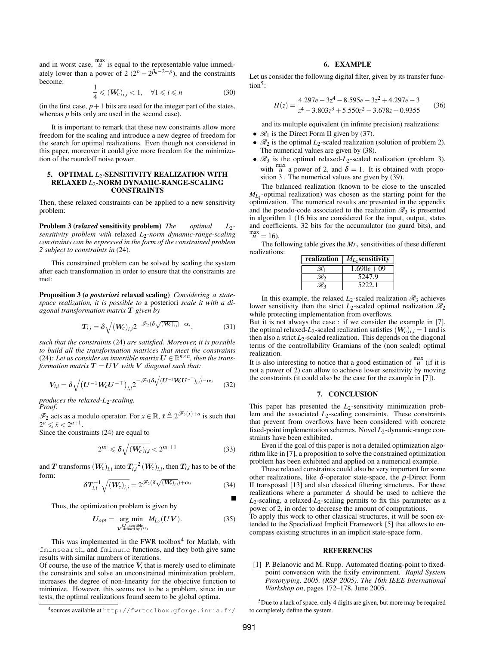and in worst case,  $\frac{max}{u}$  is equal to the representable value immediately lower than a power of 2  $(2^p - 2^{\beta_u - 2 - p})$ , and the constraints become:

$$
\frac{1}{4} \leqslant (W_c)_{i,i} < 1, \quad \forall 1 \leqslant i \leqslant n \tag{30}
$$

(in the first case,  $p+1$  bits are used for the integer part of the states, whereas *p* bits only are used in the second case).

It is important to remark that these new constraints allow more freedom for the scaling and introduce a new degree of freedom for the search for optimal realizations. Even though not considered in this paper, moreover it could give more freedom for the minimization of the roundoff noise power.

# 5. OPTIMAL *L*<sub>2</sub>-SENSITIVITY REALIZATION WITH RELAXED *L*2-NORM DYNAMIC-RANGE-SCALING CONSTRAINTS

Then, these relaxed constraints can be applied to a new sensitivity problem:

Problem 3 (*relaxed* sensitivity problem) *The optimal L*2 *sensitivity problem with* relaxed *L*2*-norm dynamic-range-scaling constraints can be expressed in the form of the constrained problem 2 subject to constraints in* (24)*.*

This constrained problem can be solved by scaling the system after each transformation in order to ensure that the constraints are met:

Proposition 3 (*a posteriori* relaxed scaling) *Considering a statespace realization, it is possible to* a posteriori *scale it with a diagonal transformation matrix* T *given by*

$$
T_{i,i} = \delta \sqrt{\left(W_c\right)_{i,i}} 2^{-\mathscr{F}_2(\delta \sqrt{\left(W_c\right)_{i,i}}) - \alpha_i},\tag{31}
$$

*such that the constraints* (24) *are satisfied. Moreover, it is possible to build all the transformation matrices that meet the constraints* (24): Let us consider an invertible matrix  $U \in \mathbb{R}^{n \times n}$ , then the trans*formation matrix*  $T = UV$  *with* V *diagonal such that:* 

$$
V_{i,i} = \delta \sqrt{\left(U^{-1}W_c U^{-\top}\right)_{i,i}} 2^{-\mathscr{F}_2(\delta \sqrt{\left(U^{-1}W_c U^{-\top}\right)_{i,i}}) - \alpha_i}
$$
(32)

*produces the relaxed-L*2*-scaling. Proof:*

 $\mathcal{F}_2$  acts as a modulo operator. For  $x \in \mathbb{R}$ ,  $\bar{x} \triangleq 2^{\mathcal{F}_2(x)+a}$  is such that  $2^a \leq \bar{x} < 2^{a+1}$ .

Since the constraints (24) are equal to

$$
2^{\alpha_i} \leq \delta \sqrt{\left(W_c\right)_{i,i}} < 2^{\alpha_i+1} \tag{33}
$$

and  $T$  transforms  $(W_c)_{i,i}$  into  $T^{-2}_{i,i}(W_c)_{i,i},$  then  $T_{i,i}$  has to be of the form:

$$
\delta T_{i,i}^{-1} \sqrt{\left(\boldsymbol{W}_{c}\right)_{i,i}} = 2^{\mathscr{F}_{2}(\delta\sqrt{\left(\boldsymbol{W}_{c}\right)_{i,i}}) + \boldsymbol{\alpha}_{i}}
$$
(34)

Thus, the optimization problem is given by

$$
U_{opt} = \underset{\substack{U \text{ invertible} \\ V \text{ defined by (32)}}}{\arg \min} M_{L_2}(UV). \tag{35}
$$

This was implemented in the FWR toolbox $4$  for Matlab, with fminsearch, and fminunc functions, and they both give same results with similar numbers of iterations.

Of course, the use of the matrice  $V$ , that is merely used to eliminate the constraints and solve an unconstrained minimization problem, increases the degree of non-linearity for the objective function to minimize. However, this seems not to be a problem, since in our tests, the optimal realizations found seem to be global optima.

# 6. EXAMPLE

Let us consider the following digital filter, given by its transfer function<sup>5</sup>:

$$
H(z) = \frac{4.297e - 3z^4 - 8.595e - 3z^2 + 4.297e - 3}{z^4 - 3.803z^3 + 5.550z^2 - 3.678z + 0.9355}
$$
(36)

and its multiple equivalent (in infinite precision) realizations:

- $\mathcal{R}_1$  is the Direct Form II given by (37).
- $\mathcal{R}_2$  is the optimal  $L_2$ -scaled realization (solution of problem 2). The numerical values are given by (38).
- $\mathcal{R}_3$  is the optimal relaxed- $L_2$ -scaled realization (problem 3), with  $\frac{max}{u}$  a power of 2, and  $\delta = 1$ . It is obtained with proposition 3 . The numerical values are given by (39).

The balanced realization (known to be close to the unscaled  $M_{L_2}$ -optimal realization) was chosen as the starting point for the optimization. The numerical results are presented in the appendix and the pseudo-code associated to the realization  $\mathcal{R}_3$  is presented in algorithm 1 (16 bits are considered for the input, output, states and coefficients, 32 bits for the accumulator (no guard bits), and  $\max_{\boldsymbol{u}}$  $\dot{=}$  = 16).

The following table gives the  $M_{L_2}$  sensitivities of these different realizations:

| realization $ M_L$ , sensitivity |
|----------------------------------|
| $1.690e + 09$                    |
| 5247.9                           |
| 5222.1                           |

In this example, the relaxed  $L_2$ -scaled realization  $\mathcal{R}_3$  achieves lower sensitivity than the strict  $L_2$ -scaled optimal realization  $\mathcal{R}_2$ while protecting implementation from overflows.

But it is not always the case : if we consider the example in [7], the optimal relaxed- $L_2$ -scaled realization satisfies  $(W_c)_{i,i} = 1$  and is then also a strict  $L_2$ -scaled realization. This depends on the diagonal terms of the controllability Gramians of the (non scaled) optimal realization.

It is also interesting to notice that a good estimation of  $\frac{max}{u}$  (if it is not a power of 2) can allow to achieve lower sensitivity by moving the constraints (it could also be the case for the example in [7]).

# 7. CONCLUSION

This paper has presented the  $L_2$ -sensitivity minimization problem and the associated *L*2-scaling constraints. These constraints that prevent from overflows have been considered with concrete fixed-point implementation schemes. Novel L<sub>2</sub>-dynamic-range constraints have been exhibited.

Even if the goal of this paper is not a detailed optimization algorithm like in [7], a proposition to solve the constrained optimization problem has been exhibited and applied on a numerical example.

These relaxed constraints could also be very important for some other realizations, like δ-operator state-space, the  $ρ$ -Direct Form II transposed [13] and also classical filtering structures. For these realizations where a parameter ∆ should be used to achieve the  $L_2$ -scaling, a relaxed- $L_2$ -scaling permits to fix this parameter as a power of 2, in order to decrease the amount of computations.

To apply this work to other classical structures, it will be soon extended to the Specialized Implicit Framework [5] that allows to encompass existing structures in an implicit state-space form.

#### REFERENCES

[1] P. Belanovic and M. Rupp. Automated floating-point to fixedpoint conversion with the fixify environment. *Rapid System Prototyping, 2005. (RSP 2005). The 16th IEEE International Workshop on*, pages 172–178, June 2005.

<sup>4</sup> sources available at http://fwrtoolbox.gforge.inria.fr/

<sup>5</sup>Due to a lack of space, only 4 digits are given, but more may be required to completely define the system.